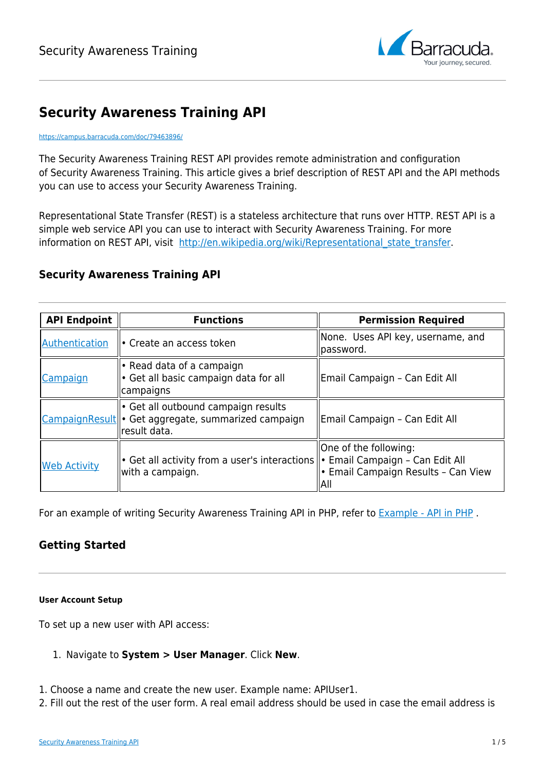

# **Security Awareness Training API**

#### <https://campus.barracuda.com/doc/79463896/>

The Security Awareness Training REST API provides remote administration and configuration of Security Awareness Training. This article gives a brief description of REST API and the API methods you can use to access your Security Awareness Training.

Representational State Transfer (REST) is a stateless architecture that runs over HTTP. REST API is a simple web service API you can use to interact with Security Awareness Training. For more information on REST API, visit http://en.wikipedia.org/wiki/Representational state transfer.

## **Security Awareness Training API**

| <b>API Endpoint</b> | <b>Functions</b>                                                                                                       | <b>Permission Required</b>                                           |
|---------------------|------------------------------------------------------------------------------------------------------------------------|----------------------------------------------------------------------|
| Authentication      | • Create an access token                                                                                               | None. Uses API key, username, and<br> password.                      |
| Campaign            | • Read data of a campaign<br>• Get all basic campaign data for all<br>campaigns                                        | Email Campaign - Can Edit All                                        |
|                     | • Get all outbound campaign results<br>CampaignResult <sup>o</sup> Get aggregate, summarized campaign<br>lresult data. | Email Campaign - Can Edit All                                        |
| <b>Web Activity</b> | • Get all activity from a user's interactions   • Email Campaign - Can Edit All<br>with a campaign.                    | One of the following:<br>• Email Campaign Results - Can View<br>IAII |

For an example of writing Security Awareness Training API in PHP, refer to **Example - API in PHP**.

## **Getting Started**

#### **User Account Setup**

To set up a new user with API access:

## 1. Navigate to **System > User Manager**. Click **New**.

- 1. Choose a name and create the new user. Example name: APIUser1.
- 2. Fill out the rest of the user form. A real email address should be used in case the email address is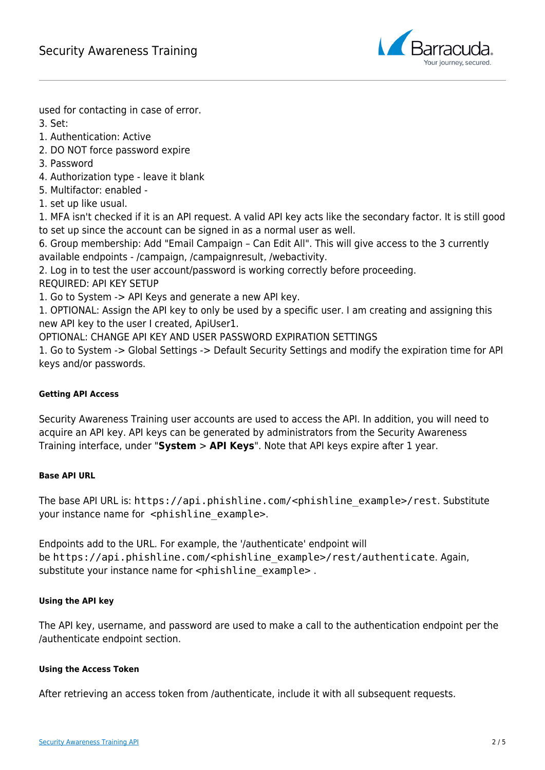

used for contacting in case of error.

3. Set:

- 1. Authentication: Active
- 2. DO NOT force password expire
- 3. Password
- 4. Authorization type leave it blank
- 5. Multifactor: enabled -
- 1. set up like usual.

1. MFA isn't checked if it is an API request. A valid API key acts like the secondary factor. It is still good to set up since the account can be signed in as a normal user as well.

6. Group membership: Add "Email Campaign – Can Edit All". This will give access to the 3 currently available endpoints - /campaign, /campaignresult, /webactivity.

2. Log in to test the user account/password is working correctly before proceeding.

REQUIRED: API KEY SETUP

1. Go to System -> API Keys and generate a new API key.

1. OPTIONAL: Assign the API key to only be used by a specific user. I am creating and assigning this new API key to the user I created, ApiUser1.

OPTIONAL: CHANGE API KEY AND USER PASSWORD EXPIRATION SETTINGS

1. Go to System -> Global Settings -> Default Security Settings and modify the expiration time for API keys and/or passwords.

## **Getting API Access**

Security Awareness Training user accounts are used to access the API. In addition, you will need to acquire an API key. API keys can be generated by administrators from the Security Awareness Training interface, under "**System** > **API Keys**". Note that API keys expire after 1 year.

## **Base API URL**

The base API URL is: https://api.phishline.com/<phishline\_example>/rest. Substitute your instance name for <phishline\_example>.

Endpoints add to the URL. For example, the '/authenticate' endpoint will be https://api.phishline.com/<phishline\_example>/rest/authenticate. Again, substitute your instance name for <phishline\_example>.

## **Using the API key**

The API key, username, and password are used to make a call to the authentication endpoint per the /authenticate endpoint section.

## **Using the Access Token**

After retrieving an access token from /authenticate, include it with all subsequent requests.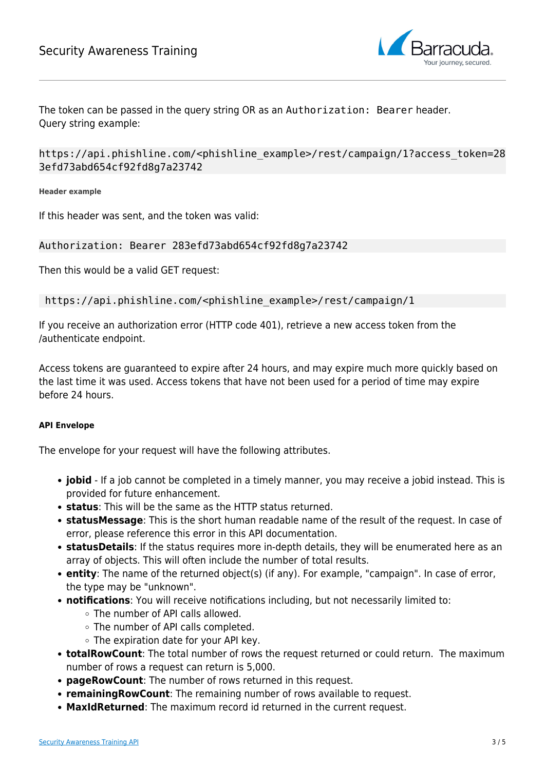

The token can be passed in the query string OR as an Authorization: Bearer header. Query string example:

https://api.phishline.com/<phishline\_example>/rest/campaign/1?access\_token=28 3efd73abd654cf92fd8g7a23742

**Header example**

If this header was sent, and the token was valid:

## Authorization: Bearer 283efd73abd654cf92fd8g7a23742

Then this would be a valid GET request:

https://api.phishline.com/<phishline\_example>/rest/campaign/1

If you receive an authorization error (HTTP code 401), retrieve a new access token from the /authenticate endpoint.

Access tokens are guaranteed to expire after 24 hours, and may expire much more quickly based on the last time it was used. Access tokens that have not been used for a period of time may expire before 24 hours.

#### **API Envelope**

The envelope for your request will have the following attributes.

- **jobid** If a job cannot be completed in a timely manner, you may receive a jobid instead. This is provided for future enhancement.
- **status**: This will be the same as the HTTP status returned.
- **statusMessage**: This is the short human readable name of the result of the request. In case of error, please reference this error in this API documentation.
- **statusDetails**: If the status requires more in-depth details, they will be enumerated here as an array of objects. This will often include the number of total results.
- **entity**: The name of the returned object(s) (if any). For example, "campaign". In case of error, the type may be "unknown".
- **notifications**: You will receive notifications including, but not necessarily limited to:
	- The number of API calls allowed.
	- The number of API calls completed.
	- The expiration date for your API key.
- **totalRowCount**: The total number of rows the request returned or could return. The maximum number of rows a request can return is 5,000.
- **pageRowCount**: The number of rows returned in this request.
- **remainingRowCount**: The remaining number of rows available to request.
- **MaxIdReturned**: The maximum record id returned in the current request.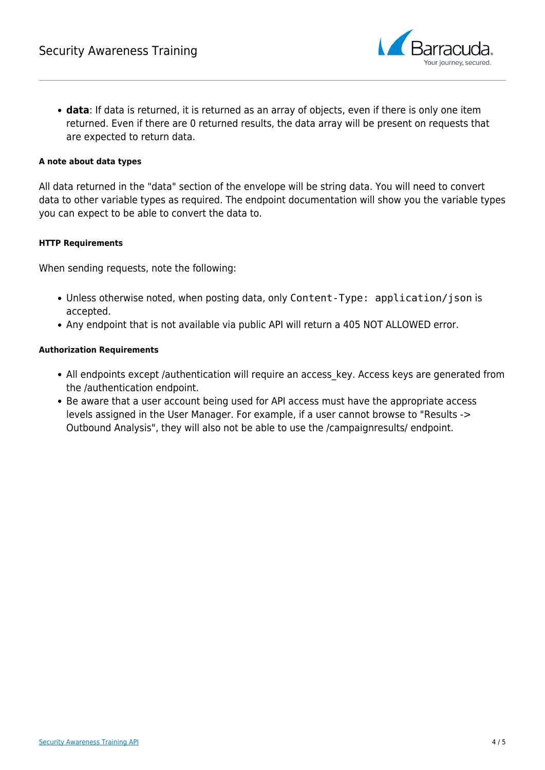

**data**: If data is returned, it is returned as an array of objects, even if there is only one item returned. Even if there are 0 returned results, the data array will be present on requests that are expected to return data.

#### **A note about data types**

All data returned in the "data" section of the envelope will be string data. You will need to convert data to other variable types as required. The endpoint documentation will show you the variable types you can expect to be able to convert the data to.

#### **HTTP Requirements**

When sending requests, note the following:

- Unless otherwise noted, when posting data, only Content-Type: application/json is accepted.
- Any endpoint that is not available via public API will return a 405 NOT ALLOWED error.

#### **Authorization Requirements**

- All endpoints except /authentication will require an access key. Access keys are generated from the /authentication endpoint.
- Be aware that a user account being used for API access must have the appropriate access levels assigned in the User Manager. For example, if a user cannot browse to "Results -> Outbound Analysis", they will also not be able to use the /campaignresults/ endpoint.